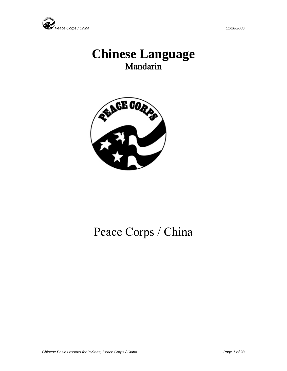

# **Chinese Language**  Mandarin



# Peace Corps / China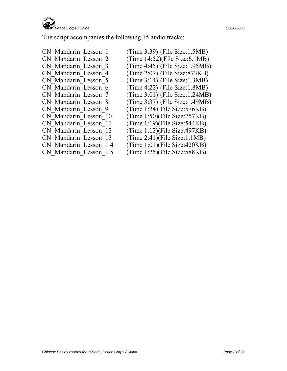

The script accompanies the following 15 audio tracks:

- CN Mandarin Lesson 1 (Time 3:39) (File Size:1.5MB) CN Mandarin Lesson 2 (Time 14:52)(File Size:6.1MB) CN\_Mandarin\_Lesson\_3 (Time 4:45) (File Size:1.95MB) CN Mandarin Lesson 5 (Time 3:14) (File Size:1.3MB) CN Mandarin Lesson 6 (Time 4:22) (File Size:1.8MB) CN\_Mandarin\_Lesson\_9 (Time 1:24) File Size:576KB)<br>CN\_Mandarin\_Lesson\_10 (Time 1:50)(File Size:757KB) CN Mandarin Lesson 11 (Time 1:19)(File Size:544KB) CN Mandarin Lesson 12 (Time 1:12)(File Size:497KB) CN Mandarin Lesson 13 (Time 2:41)(File Size:1.1MB)
- CN Mandarin Lesson 4 (Time 2:07) (File Size:873KB) CN\_Mandarin\_Lesson\_7 (Time 3:01) (File Size:1.24MB) CN Mandarin Lesson 8 (Time 3:37) (File Size:1.49MB)  $(Time 1:50)$ (File Size:757KB) CN\_Mandarin\_Lesson\_1 4 (Time 1:01)(File Size:420KB) CN Mandarin Lesson 1 5 (Time 1:25)(File Size:588KB)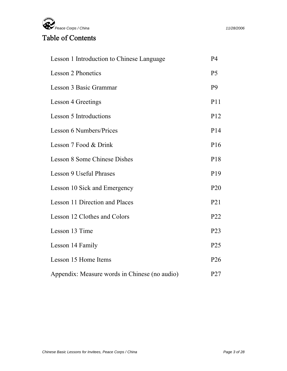

## Table of Contents

| Lesson 1 Introduction to Chinese Language     | <b>P4</b>       |
|-----------------------------------------------|-----------------|
| <b>Lesson 2 Phonetics</b>                     | P <sub>5</sub>  |
| Lesson 3 Basic Grammar                        | P <sub>9</sub>  |
| <b>Lesson 4 Greetings</b>                     | P11             |
| <b>Lesson 5 Introductions</b>                 | P <sub>12</sub> |
| <b>Lesson 6 Numbers/Prices</b>                | P14             |
| Lesson 7 Food & Drink                         | P <sub>16</sub> |
| <b>Lesson 8 Some Chinese Dishes</b>           | P18             |
| <b>Lesson 9 Useful Phrases</b>                | P <sub>19</sub> |
| Lesson 10 Sick and Emergency                  | P <sub>20</sub> |
| Lesson 11 Direction and Places                | P <sub>21</sub> |
| Lesson 12 Clothes and Colors                  | P <sub>22</sub> |
| Lesson 13 Time                                | P <sub>23</sub> |
| Lesson 14 Family                              | P <sub>25</sub> |
| Lesson 15 Home Items                          | P <sub>26</sub> |
| Appendix: Measure words in Chinese (no audio) | P27             |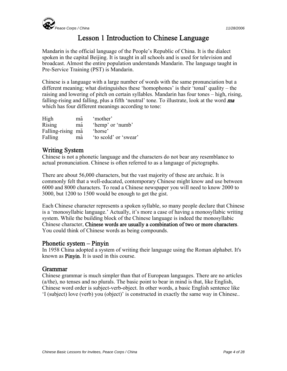

## Lesson 1 Introduction to Chinese Language

Mandarin is the official language of the People's Republic of China. It is the dialect spoken in the capital Beijing. It is taught in all schools and is used for television and broadcast. Almost the entire population understands Mandarin. The language taught in Pre-Service Training (PST) is Mandarin.

Chinese is a language with a large number of words with the same pronunciation but a different meaning; what distinguishes these 'homophones' is their 'tonal' quality – the raising and lowering of pitch on certain syllables. Mandarin has four tones – high, rising, falling-rising and falling, plus a fifth 'neutral' tone. To illustrate, look at the word **ma** which has four different meanings according to tone:

| High              | ma | 'mother'              |
|-------------------|----|-----------------------|
| Rising            | má | 'hemp' or 'numb'      |
| Falling-rising mǎ |    | 'horse'               |
| Falling           | ma | 'to scold' or 'swear' |

#### Writing System

Chinese is not a phonetic language and the characters do not bear any resemblance to actual pronunciation. Chinese is often referred to as a language of pictographs.

There are about 56,000 characters, but the vast majority of these are archaic. It is commonly felt that a well-educated, contemporary Chinese might know and use between 6000 and 8000 characters. To read a Chinese newspaper you will need to know 2000 to 3000, but 1200 to 1500 would be enough to get the gist.

Each Chinese character represents a spoken syllable, so many people declare that Chinese is a 'monosyllabic language.' Actually, it's more a case of having a monosyllabic writing system. While the building block of the Chinese language is indeed the monosyllabic Chinese character, Chinese words are usually a combination of two or more characters. You could think of Chinese words as being compounds.

#### Phonetic system – Pinyin

In 1958 China adopted a system of writing their language using the Roman alphabet. It's known as Pinyin. It is used in this course.

#### Grammar

Chinese grammar is much simpler than that of European languages. There are no articles (a/the), no tenses and no plurals. The basic point to bear in mind is that, like English, Chinese word order is subject-verb-object. In other words, a basic English sentence like 'I (subject) love (verb) you (object)' is constructed in exactly the same way in Chinese..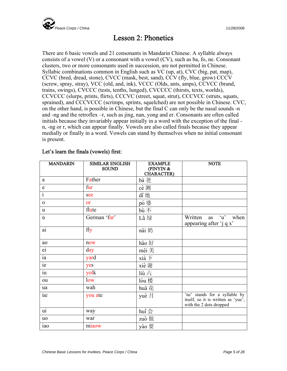

## Lesson 2: Phonetics

There are 6 basic vowels and 21 consonants in Mandarin Chinese. A syllable always consists of a vowel (V) or a consonant with a vowel (CV), such as ba, fo, ne. Consonant clusters, two or more consonants used in succession, are not permitted in Chinese. Syllabic combinations common in English such as VC (up, at), CVC (big, pat, map), CCVC (bred, dread, stone), CVCC (mask, best, sand), CCV (fly, blue, grow) CCCV (screw, spray, stray), VCC (old, and, ink), VCCC (Olds, ants, amps), CCVCC (brand, trains, swings), CVCCC (tests, tenths, lunged), CVCCCC (thirsts, texts, worlds), CCVCCC (slurps, prints, flirts), CCCVC (street, squat, strut), CCCVCC (struts, squats, sprained), and CCCVCCC (scrimps, sprints, squelched) are not possible in Chinese. CVC, on the other hand, is possible in Chinese, but the final C can only be the nasal sounds -n and -ng and the retroflex –r, such as jing, nan, yong and er. Consonants are often called initials because they invariably appear initially in a word with the exception of the final n, -ng or r, which can appear finally. Vowels are also called finals because they appear medially or finally in a word. Vowels can stand by themselves when no initial consonant is present.

| <b>MANDARIN</b>         | <b>SIMILAR ENGLISH</b><br><b>SOUND</b> | <b>EXAMPLE</b><br>(PINYIN $\&$<br><b>CHARACTER)</b> | <b>NOTE</b>                                                                                    |
|-------------------------|----------------------------------------|-----------------------------------------------------|------------------------------------------------------------------------------------------------|
| a                       | Father                                 | bà 爸                                                |                                                                                                |
| $\mathbf e$             | fur                                    | cè测                                                 |                                                                                                |
| $\overline{\mathbf{i}}$ | see                                    | di 地                                                |                                                                                                |
| $\mathbf{O}$            | <b>or</b>                              | pó 婆                                                |                                                                                                |
| $\mathbf u$             | flute                                  | bù不                                                 |                                                                                                |
| ü                       | German 'für'                           | Lù 绿                                                | 'u' when<br>Written<br>as<br>appearing after 'j q x'                                           |
| $\overline{ai}$         | fly                                    | nǎi 奶                                               |                                                                                                |
| ao                      | now                                    | hǎo 好                                               |                                                                                                |
| ei                      | day                                    | měi 美                                               |                                                                                                |
| $i$ a                   | yard                                   | xià 下                                               |                                                                                                |
| ie                      | yes                                    | xiè 谢                                               |                                                                                                |
| $\overline{u}$          | yolk                                   | liù六                                                |                                                                                                |
| ou                      | low                                    | lóu 楼                                               |                                                                                                |
| ua                      | wah                                    | huā 花                                               |                                                                                                |
| üe                      | you ate                                | yuè 月                                               | 'üe' stands for a syllable by<br>itself, so it is written as 'yue',<br>with the 2 dots dropped |
| $\overline{ui}$         | way                                    | hui会                                                |                                                                                                |
| <b>uo</b>               | war                                    | zuò 做                                               |                                                                                                |
| iao                     | miaow                                  | yào 要                                               |                                                                                                |

#### Let's learn the finals (vowels) first: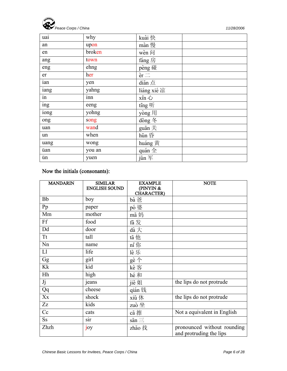

| uai  | why    | kuài 快                   |  |
|------|--------|--------------------------|--|
| an   | upon   | màn 慢                    |  |
| en   | broken | wèn $ \bar{\mathbb{q}} $ |  |
| ang  | town   | fáng 房                   |  |
| eng  | ehng   | pèng 碰                   |  |
| er   | her    | $er \equiv$              |  |
| ian  | yen    | diǎn 点                   |  |
| iang | yahng  | liáng xié 凉              |  |
| in   | inn    | xīn 心                    |  |
| ing  | eeng   | ting 听                   |  |
| iong | yohng  | yòng 用                   |  |
| ong  | song   | dong 冬                   |  |
| uan  | wand   | guān 关                   |  |
| un   | when   | hūn 昏                    |  |
| uang | wong   | huáng 黄                  |  |
| üan  | you an | quán 全                   |  |
| ün   | yuen   | jūn 军                    |  |

## Now the initials (consonants):

| <b>MANDARIN</b> | <b>SIMILAR</b><br><b>ENGLISH SOUND</b> | <b>EXAMPLE</b><br>(PINYN &<br><b>CHARACTER)</b> | <b>NOTE</b>                                            |
|-----------------|----------------------------------------|-------------------------------------------------|--------------------------------------------------------|
| <b>Bb</b>       | boy                                    | bà 爸                                            |                                                        |
| Pp              | paper                                  | pó 婆                                            |                                                        |
| Mm              | mother                                 | mā 妈                                            |                                                        |
| Ff              | food                                   | fa 发                                            |                                                        |
| Dd              | door                                   | dà 大                                            |                                                        |
| Tt              | tall                                   | tā 他                                            |                                                        |
| Nn              | name                                   | nǐ 你                                            |                                                        |
| L1              | life                                   | lè 乐                                            |                                                        |
| Gg              | girl                                   | gè 个                                            |                                                        |
| Kk              | kid                                    | kè 客                                            |                                                        |
| Hh              | high                                   | hé 和                                            |                                                        |
| Jj              | jeans                                  | jiě 姐                                           | the lips do not protrude                               |
| Qq              | cheese                                 | qián 钱                                          |                                                        |
| Xx              | shock                                  | xiū 休                                           | the lips do not protrude                               |
| Zz              | kids                                   | zuò 坐                                           |                                                        |
| Cc              | cats                                   | cā 擦                                            | Not a equivalent in English                            |
| S <sub>S</sub>  | sir                                    | $s\bar{a}n \equiv$                              |                                                        |
| Zhzh            | joy                                    | zhǎo 找                                          | pronounced without rounding<br>and protruding the lips |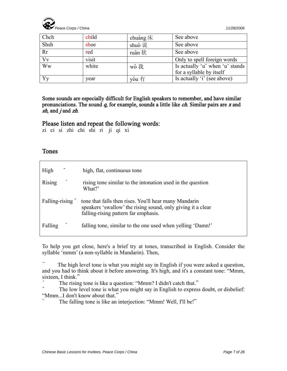

| Chch | child | chuáng $\bar{\mathcal{K}}$ | See above                       |
|------|-------|----------------------------|---------------------------------|
| Shsh | shoe  | shuō 说                     | See above                       |
| Rr   | red   | ruǎn 软                     | See above                       |
| Vv   | visit |                            | Only to spell foreign words     |
| Ww   | white | wǒ 我                       | Is actually 'u' when 'u' stands |
|      |       |                            | for a syllable by itself        |
| Yy   | year  | yǒu 有                      | Is actually 'i' (see above)     |

Some sounds are especially difficult for English speakers to remember, and have similar pronunciations. The sound  $q$ , for example, sounds a little like *ch*. Similar pairs are  $x$  and sh, and  $j$  and  $zh$ .

#### Please listen and repeat the following words:

zi ci si zhi chi shi ri ji qi xi

#### Tones

| High               | high, flat, continuous tone                                                                                                                                  |
|--------------------|--------------------------------------------------------------------------------------------------------------------------------------------------------------|
| ╭<br><b>Rising</b> | rising tone similar to the intonation used in the question<br>What?'                                                                                         |
| Falling-rising     | tone that falls then rises. You'll hear many Mandarin<br>speakers 'swallow' the rising sound, only giving it a clear<br>falling-rising pattern far emphasis. |
| Falling            | falling tone, similar to the one used when yelling 'Damn!'                                                                                                   |

To help you get close, here's a brief try at tones, transcribed in English. Consider the syllable 'mmm' (a non-syllable in Mandarin). Then,

The high level tone is what you might say in English if you were asked a question, and you had to think about it before answering. It's high, and it's a constant tone: "Mmm, sixteen, I think."

The rising tone is like a question: "Mmm? I didn't catch that."

The low level tone is what you might say in English to express doubt, or disbelief: "Mmm...I don't know about that."

The falling tone is like an interjection: "Mmm! Well, I'll be!"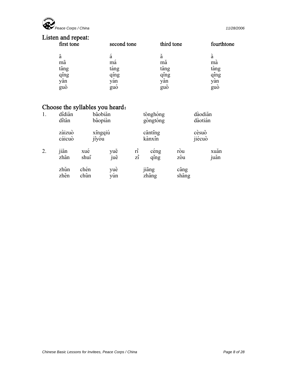

## Listen and repeat:

| first tone | second tone | third tone | fourthtone |
|------------|-------------|------------|------------|
| a          | a           |            | а          |
| ma         | ma          | ma         | ma         |
| tang       | tang        | tang       | tang       |
| qing       | qing        | qing       | qing       |
| yan        | yan         | yan        | yan        |
| guo        | guo         | guo        | guo        |

## Choose the syllables you heard:

| 1. | didiǎn<br>dităn  |              | bāobiǎn<br>bǎopiàn |                                     | tonghong<br>gòngtóng |                        | dàodiǎn<br>dàotián |
|----|------------------|--------------|--------------------|-------------------------------------|----------------------|------------------------|--------------------|
|    | zàizuò<br>cáicuò | jīyóu        | xingqiú            |                                     | canting<br>kànxin    |                        | cèsuǒ<br>jiécuò    |
| 2. | jian<br>zhan     | xue<br>shui  | yuē<br>juē         | $\vec{r}$<br>$\overrightarrow{z_1}$ | ceng<br>qing         | rou<br>zou             | xuan<br>juǎn       |
|    | zhǔn<br>zhěn     | chén<br>chūn | yuè<br>yun         |                                     | jiang<br>zhang       | $c\bar{a}$ ng<br>shang |                    |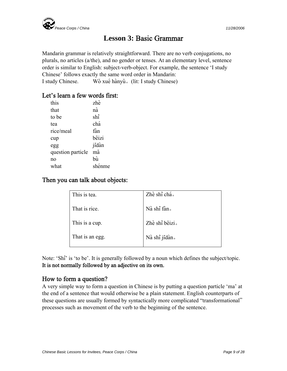

## **Lesson 3:** Basic Grammar

Mandarin grammar is relatively straightforward. There are no verb conjugations, no plurals, no articles (a/the), and no gender or tenses. At an elementary level, sentence order is similar to English: subject-verb-object. For example, the sentence 'I study Chinese' follows exactly the same word order in Mandarin: I study Chinese. Wǒ xué hànyǔ. (lit: I study Chinese)

#### Let's learn a few words first:

| this              | zhè    |
|-------------------|--------|
| that              | nà     |
| to be             | shi    |
| tea               | chá    |
| rice/meal         | fàn    |
| cup               | bēizi  |
| egg               | jīdàn  |
| question particle | mā     |
| no                | bù     |
| what              | shénme |
|                   |        |

#### Then you can talk about objects:

| This is tea.    | Zhè shì chá.   |
|-----------------|----------------|
| That is rice.   | Nà shì fàn.    |
| This is a cup.  | Zhè shì bēizi. |
| That is an egg. | Nà shi jidàn.  |

Note: 'Shi' is 'to be'. It is generally followed by a noun which defines the subject/topic. It is not normally followed by an adjective on its own.

#### How to form a question?

A very simple way to form a question in Chinese is by putting a question particle 'ma' at the end of a sentence that would otherwise be a plain statement. English counterparts of these questions are usually formed by syntactically more complicated "transformational" processes such as movement of the verb to the beginning of the sentence.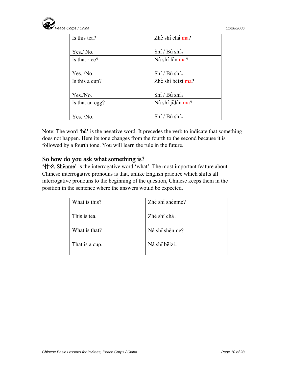

| Is this tea?    | Zhè shì chá ma?   |
|-----------------|-------------------|
|                 |                   |
| Yes./ No.       | Shì / Bú shì.     |
| Is that rice?   | Nà shi fàn ma?    |
|                 |                   |
| Yes. $/No.$     | Shì / Bú shì.     |
| Is this a cup?  | Zhè shì beizi ma? |
|                 |                   |
| Yes./No.        | Shì / Bú shì.     |
| Is that an egg? | Nà shi jidàn ma?  |
|                 |                   |
| Yes. /No.       | Shi / Bu shi.     |

Note: The word 'bu' is the negative word. It precedes the verb to indicate that something does not happen. Here its tone changes from the fourth to the second because it is followed by a fourth tone. You will learn the rule in the future.

#### So how do you ask what something is?

 $'$  th  $\triangle$  Shénme' is the interrogative word 'what'. The most important feature about Chinese interrogative pronouns is that, unlike English practice which shifts all interrogative pronouns to the beginning of the question, Chinese keeps them in the position in the sentence where the answers would be expected.

| What is this?  | Zhè shi shénme? |
|----------------|-----------------|
| This is tea.   | Zhè shì chá.    |
| What is that?  | Nà shì shénme?  |
| That is a cup. | Nà shi beizi.   |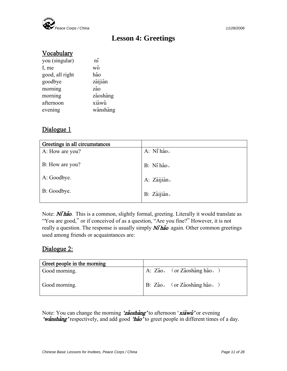

## **Lesson 4: Greetings**

#### **Vocabulary**

| $n\check{ }$ |
|--------------|
| wŏ           |
| hǎo          |
| zàijiàn      |
| zǎo          |
| zǎoshàng     |
| xiàwǔ        |
| wǎnshàng     |
|              |

#### Dialogue 1

| Greetings in all circumstances |             |
|--------------------------------|-------------|
| A: How are you?                | A: Ni hảo.  |
| B: How are you?                | B: Ni hảo.  |
| A: Goodbye.                    | A: Zàijiàn. |
| B: Goodbye.                    | B: Zàijiàn. |

Note:  $N\tilde{\theta}$  has is a common, slightly formal, greeting. Literally it would translate as "You are good," or if conceived of as a question, "Are you fine?" However, it is not really a question. The response is usually simply  $N\tilde{\mathbf{i}}$  has again. Other common greetings used among friends or acquaintances are:

#### Dialogue 2:

| Greet people in the morning |                                                           |
|-----------------------------|-----------------------------------------------------------|
| Good morning.               | $ A: Zao.$ (or Zǎoshàng hǎo.)                             |
| Good morning.               | $ B: Z\check{a}o.$ (or $Z\check{a}o.$ and $\check{a}o.$ ) |

Note: You can change the morning 'zaoshang' to afternoon 'xiawu' or evening 'wanshang' respectively, and add good 'hao' to greet people in different times of a day.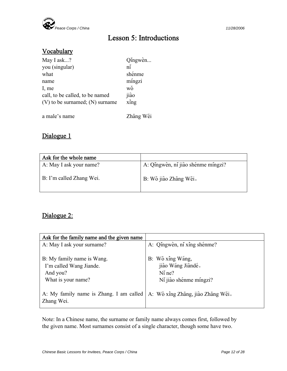

## Lesson 5: Introductions

#### **Vocabulary**

| May I ask?                          | Qingwèn              |
|-------------------------------------|----------------------|
| you (singular)                      | $\tilde{\mathbf{n}}$ |
| what                                | shénme               |
| name                                | míngzi               |
| I, me                               | wǒ                   |
| call, to be called, to be named     | jiào                 |
| $(V)$ to be surnamed; $(N)$ surname | xing                 |
|                                     |                      |
| a male's name                       | Zhang Wěi            |

### Dialogue 1

| Ask for the whole name   |                                    |
|--------------------------|------------------------------------|
| A: May I ask your name?  | A: Qingwèn, ni jiào shénme mingzi? |
| B: I'm called Zhang Wei. | B: Wǒ jiào Zhāng Wěi.              |

## Dialogue 2:

| Ask for the family name and the given name                                              |                                                                             |
|-----------------------------------------------------------------------------------------|-----------------------------------------------------------------------------|
| A: May I ask your surname?                                                              | A: Qingwèn, ni xing shénme?                                                 |
| B: My family name is Wang.<br>I'm called Wang Jiande.<br>And you?<br>What is your name? | B: Wǒ xing Wáng,<br>jiào Wáng Jiàndé.<br>$Ni$ ne?<br>Ni jiào shénme míngzi? |
| A: My family name is Zhang. I am called<br>Zhang Wei.                                   | A: Wǒ xing Zhāng, jiào Zhāng Wěi.                                           |

Note: In a Chinese name, the surname or family name always comes first, followed by the given name. Most surnames consist of a single character, though some have two.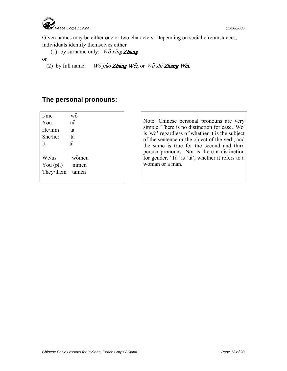

Given names may be either one or two characters. Depending on social circumstances, individuals identify themselves either

(1) by surname only: Wo xing Zhang

or

(2) by full name: Wǒ jiào Zhāng Wěi, or Wǒ shì Zhāng Wěi.

#### **The personal pronouns:**

| I/me        | <b>WO</b>    |
|-------------|--------------|
| You         | $n\check{ }$ |
| He/him      | tā           |
| She/her     | tā           |
| It          | tā           |
|             |              |
| We/us       | wǒmen        |
| You $(pl.)$ | nimen        |
| They/them   | tāmen        |
|             |              |

Note: Chinese personal pronouns are very simple. There is no distinction for case. 'Wo' is 'wo' regardless of whether it is the subject of the sentence or the object of the verb, and the same is true for the second and third person pronouns. Nor is there a distinction for gender. 'Ta' is 'ta', whether it refers to a woman or a man.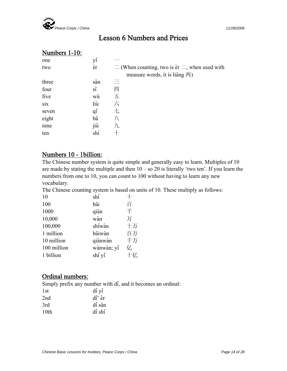

## Lesson 6 Numbers and Prices

### Numbers 1-10:

| one   | yī         |                                                                     |
|-------|------------|---------------------------------------------------------------------|
| two   | èr         | $\equiv$ (When counting, two is $\text{er} \equiv$ , when used with |
|       |            | measure words, it is liǎng $\overline{m}$ )                         |
| three | san        | Ξ                                                                   |
| four  | $\sin$     | 四                                                                   |
| five  | wŭ         | 五                                                                   |
| six   | liù        | 六                                                                   |
| seven | $q\bar{q}$ | 七                                                                   |
| eight | bā         | 八                                                                   |
| nine  | jiŭ        | 九                                                                   |
| ten   | shí        |                                                                     |

#### Numbers 10 - 1billion:

The Chinese number system is quite simple and generally easy to learn. Multiples of 10 are made by stating the multiple and then  $10 -$  so  $20$  is literally 'two ten'. If you learn the numbers from one to 10, you can count to 100 without having to learn any new vocabulary.

The Chinese counting system is based on units of 10. These multiply as follows:

| 10          | shí        |    |
|-------------|------------|----|
| 100         | bǎi        | 百  |
| 1000        | qian       | 千  |
| 10,000      | wàn        | 万  |
| 100,000     | shíwàn     | 十万 |
| 1 million   | bǎiwàn     | 百万 |
| 10 million  | qianwan    | 千万 |
| 100 million | wànwàn; yi | 亿  |
| 1 billion   | shí yì     | 十亿 |
|             |            |    |

#### Ordinal numbers:

Simply prefix any number with di, and it becomes an ordinal:

| 1st  | di yī  |
|------|--------|
| 2nd  | di èr  |
| 3rd  | dì sān |
| 10th | dì shí |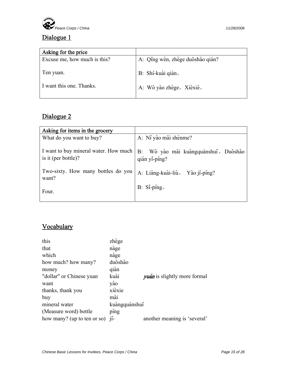

## Dialogue 1

| Asking for the price         |                                  |
|------------------------------|----------------------------------|
| Excuse me, how much is this? | A: Qing wèn, zhège duōshǎo qián? |
| Ten yuan.                    | B: Shí-kuài qián.                |
| I want this one. Thanks.     | A: Wǒ yào zhège. Xièxiè.         |

## Dialogue 2

| Asking for items in the grocery               |                                                                                                |
|-----------------------------------------------|------------------------------------------------------------------------------------------------|
| What do you want to buy?                      | A: Ní yào mǎi shénme?                                                                          |
|                                               | I want to buy mineral water. How much B: Wǒ yào mǎi kuàngquánshuǐ. Duōshǎo is it (per bottle)? |
| Two-sixty. How many bottles do you  <br>want? | A: Liǎng-kuài-liù 。 Yào jǐ-píng?                                                               |
| Four.                                         | B: Si-ping.                                                                                    |

### Vocabulary

| this                        | zhège         |                                     |
|-----------------------------|---------------|-------------------------------------|
| that                        | nàge          |                                     |
| which                       | năge          |                                     |
| how much? how many?         | duoshǎo       |                                     |
| money                       | qián          |                                     |
| "dollar" or Chinese yuan    | kuài          | <i>yuán</i> is slightly more formal |
| want                        | yào           |                                     |
| thanks, thank you           | xièxie        |                                     |
| buy                         | mǎi           |                                     |
| mineral water               | kuangquánshui |                                     |
| (Measure word) bottle       | ping          |                                     |
| how many? (up to ten or so) | $11 -$        | another meaning is 'several'        |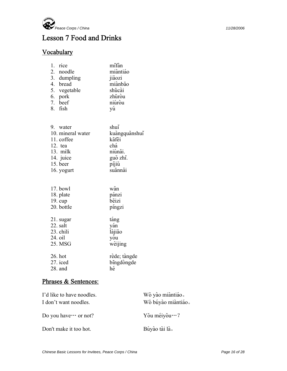

## Lesson 7 Food and Drinks

## **Vocabulary**

| 1. rice      | mifan    |
|--------------|----------|
| 2. noodle    | miàntiáo |
| 3. dumpling  | jiǎozi   |
| 4. bread     | miànbao  |
| 5. vegetable | shūcài   |
| 6. pork      | zhūrou   |
| 7. beef      | niúrou   |
| 8. fish      |          |

| 9. water          | shui              |
|-------------------|-------------------|
| 10. mineral water | kuàngquǎnshuǐ     |
| 11. coffee        | kafei             |
| $12.$ tea         | chá               |
| 13. milk          | niúnăi.           |
| 14. juice         | guǒ zhī.<br>píjiǔ |
| 15. beer          |                   |
| 16. yogurt        | suānnǎi           |
|                   |                   |

| 17. bowl          | wan          |
|-------------------|--------------|
| 18. plate         | pánzi        |
| $19. \text{ cup}$ | bēizi        |
| 20. bottle        | pingzi       |
| 21. sugar         | tang         |
| 22. salt          | yan          |
| 23. chili         | làjiāo       |
| 24. oil           | you          |
| 25. MSG           | wèijing      |
| 26. hot           | rède; tàngde |
| $27.$ iced        | bingdongde   |
| 28. and           | hé           |

#### Phrases & Sentences:

| I'd like to have noodles.<br>I don't want noodles. | Wǒ yào miàntiáo.<br>Wǒ búyào miàntiáo. |
|----------------------------------------------------|----------------------------------------|
| Do you have $\cdots$ or not?                       | Yǒu méiyǒu…?                           |
| Don't make it too hot.                             | Búyào tài là.                          |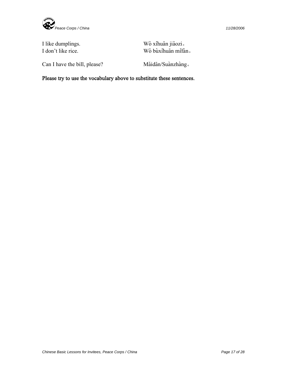

I like dumplings. Wǒ xǐhuān jiǎozi。 I don't like rice. Wǒ bùxihuān mifàn.

Can I have the bill, please? Mǎidān/Suànzhàng.

Please try to use the vocabulary above to substitute these sentences.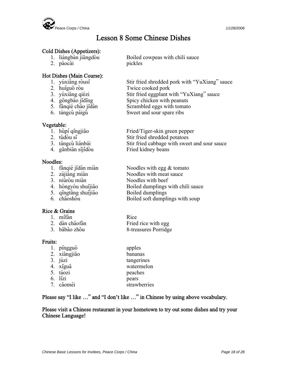

## Lesson 8 Some Chinese Dishes

#### Cold Dishes (Appetizers):

- 
- 2. pàocài pickles

#### Hot Dishes (Main Course):

- 
- 
- 
- 
- 
- 

#### Vegetable:

- 
- 
- 
- 

#### Noodles:

- 
- 
- 
- 
- 
- 

#### Rice & Grains

| 1. mifàn       | Rice                 |
|----------------|----------------------|
| 2. dàn chǎofàn | Fried rice with egg  |
| 3. babảo zhou  | 8-treasures Porridge |

#### Fruits:

| 1. pingguǒ   | apples       |
|--------------|--------------|
| 2. xiangjiao | bananas      |
| 3. júzi      | tangerines   |
| 4. xigua     | watermelon   |
| 5. táozi     | peaches      |
| 6. lízi      | pears        |
| 7. cǎoméi    | strawberries |

#### Please say "I like …" and "I don't like …" in Chinese by using above vocabulary.

#### Please visit a Chinese restaurant in your hometown to try out some dishes and try your Chinese Language!

1. liangbàn jiangdòu Boiled cowpeas with chili sauce

- 1. yúxiāng ròusi<br>
2. huíguō ròu<br>
2. huíguō ròu<br>
Twice cooked pork
- 2. huíguō ròu Twice cooked pork<br>
3. yúxiāng qiézi Stir fried eggplant w
- 3. yúxiāng qiézi Stir fried eggplant with "YuXiang" sauce<br>
4. gōngbào jīdīng Spicy chicken with peanuts
- 4. gōngbào jīdīng Spicy chicken with peanuts<br>
5. fānqié chǎo jīdàn Scrambled eggs with tomato
	- Scrambled eggs with tomato
- 6. tángcù páigǔ Sweet and sour spare ribs
- 1. hǔpí qīngjiāo Fried/Tiger-skin green pepper<br>
2. tǔdòu sī Stir fried shredded potatoes 2. tǔdòu sī<br>
3. tángcù liánbái<br>
3. tángcù liánbái<br>
Stir fried cabbage with swee Stir fried cabbage with sweet and sour sauce 4. ganbian sijidòu Fried kidney beans
- 1. fānqié jīdàn miàn  $\frac{1}{2}$  Noodles with egg & tomato  $\frac{1}{2}$   $\frac{1}{2}$   $\frac{1}{2}$   $\frac{1}{2}$  Noodles with meat sauce 2. zájiàng miàn<br>
2. niúròu miàn<br>
2. niúròu miàn<br>
Noodles with beef 3. niúròu miàn<br>
4. hóngyóu shuijiǎo<br>
3. niúrou mian Noodles with beef<br>
1. hóngyóu shuijiǎo<br>
1. Boiled dumplings Boiled dumplings with chili sauce
- 5. qīngtāng shuijiǎo Boiled dumplings<br>
6. chāoshǒu Boiled soft dumpli Boiled soft dumplings with soup
	-

*Chinese Basic Lessons for Invitees, Peace Corps / China* Page 18 of 28 *Page 18 of 28*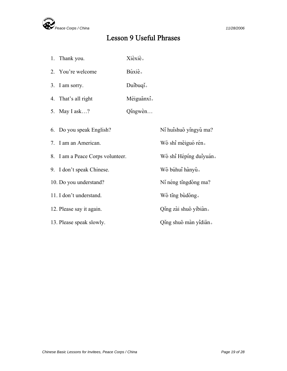

## Lesson 9 Useful Phrases

1. Thank you. Xièxiè. 2. You're welcome Buxiè. 3. I am sorry. Duibuqi. 4. That's all right Méiguanxi<sup>s</sup> 5. May I ask…? Qingwèn… 6. Do you speak English? Ní huishuo yingyǔ ma? 7. I am an American. Wǒ shì měiguó rén。 8. I am a Peace Corps volunteer. Wǒ shì Héping duiyuán. 9. I don't speak Chinese. Wǒ búhui hànyǔ. 10. Do you understand? Ní néng tingdong ma? 11. I don't understand. Wǒ ting bùdǒng. 12. Please say it again.  $\overline{Q}$ ing zài shuo yíbiàn. 13. Please speak slowly. Qing shuo màn yidián.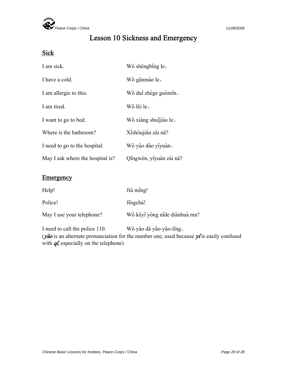

## Lesson 10 Sickness and Emergency

#### **Sick**

| I am sick.                       | Wo shengbing le.        |
|----------------------------------|-------------------------|
| I have a cold.                   | Wǒ gǎnmào le.           |
| I am allergic to this.           | Wǒ dui zhège guòmin.    |
| I am tired.                      | Wǒ lèi le.              |
| I want to go to bed.             | Wǒ xiǎng shuijiào le.   |
| Where is the bathroom?           | Xishoujian zài nă?      |
| I need to go to the hospital.    | Wǒ yào dào yiyuàn.      |
| May I ask where the hospital is? | Qingwèn, yiyuàn zài nă? |

#### **Emergency**

| Help!                     | Jiù ming!                     |
|---------------------------|-------------------------------|
| Police!                   | Jingcha!                      |
| May I use your telephone? | Wǒ kěyǐ yòng nǐde diànhuà ma? |
|                           |                               |

I need to call the police 110. Wǒ yào dǎ yāo-yāo-líng. ( $y\bar{a}o$  is an alternate pronunciation for the number one, used because  $y\bar{i}$  is easily confused with  $q\bar{i}$ , especially on the telephone)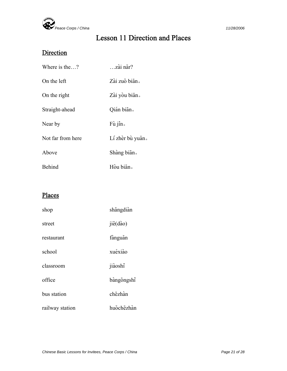

## Lesson 11 Direction and Places

## **Direction**

| Where is the?     | zài năr?         |
|-------------------|------------------|
| On the left       | Zài zuò bian.    |
| On the right      | Zài yòu bian.    |
| Straight-ahead    | Qián bian.       |
| Near by           | Fù jin.          |
| Not far from here | Lí zhèr bù yuǎn. |
| Above             | Shàng bian.      |
| Behind            | Hòu bian.        |

### Places

| shop            | shangdiàn  |
|-----------------|------------|
| street          | jie(dào)   |
| restaurant      | fànguǎn    |
| school          | xuéxião    |
| classroom       | jiàoshi    |
| office          | bàngongshi |
| bus station     | chezhàn    |
| railway station | huochezhàn |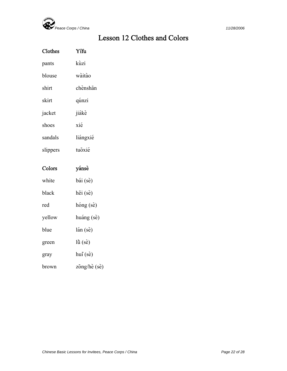

## Lesson 12 Clothes and Colors

| Clothes  | Yifu              |
|----------|-------------------|
| pants    | kùzi              |
| blouse   | wàitào            |
| shirt    | chènshan          |
| skirt    | qúnzi             |
| jacket   | jiákè             |
| shoes    | xié               |
| sandals  | liángxié          |
| slippers | tuōxié            |
|          |                   |
| Colors   | yánsè             |
| white    | bái (sè)          |
| black    | hēi (sè)          |
| red      | hóng (sè)         |
| yellow   | huáng (sè)        |
| blue     | lán (sè)          |
| green    | $l\tilde{u}$ (se) |
| gray     | $hui(s\grave{e})$ |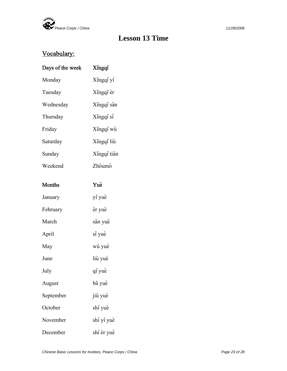

## **Lesson 13 Time**

## Vocabulary:

| Days of the week | Xingqi      |
|------------------|-------------|
| Monday           | Xingqi yi   |
| Tuesday          | Xingqi èr   |
| Wednesday        | Xingqi san  |
| Thursday         | Xingqi si   |
| Friday           | Xingqi wǔ   |
| Saturday         | Xingqi liù  |
| Sunday           | Xingqi tian |
| Weekend          | Zhoumo      |
|                  |             |
| Months           | Yuè         |
| January          | yi yuè      |
| February         | èr yuè      |
| March            | sān yuè     |
| April            | si yuè      |
| May              | wǔ yuè      |
| June             | liù yuè     |
| July             | qi yuè      |
| August           | bā yuè      |
| September        | jiů yuè     |
| October          | shí yuè     |
| November         | shí yi yuè  |
| December         | shí èr yuě  |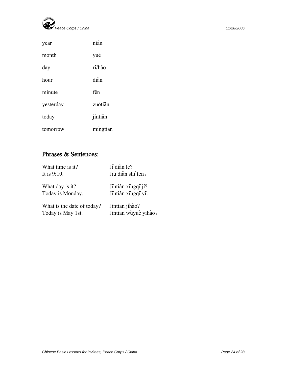

| year      | nián     |
|-----------|----------|
| month     | yuè      |
| day       | ri/hào   |
| hour      | diǎn     |
| minute    | fen      |
| yesterday | zuótian  |
| today     | jintian  |
| tomorrow  | mingtian |

## Phrases & Sentences:

| What time is it?           | Jí diǎn le?          |
|----------------------------|----------------------|
| It is $9:10$ .             | Jiǔ diǎn shí fēn.    |
| What day is it?            | Jintian xingqi ji?   |
| Today is Monday.           | Jintian xingqi yi.   |
| What is the date of today? | Jintian jihào?       |
| Today is May 1st.          | Jintian wǔyuè yihào. |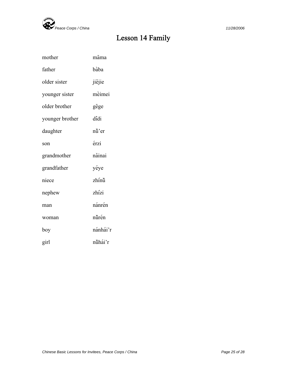

## Lesson 14 Family

| mother          | mama     |
|-----------------|----------|
| father          | bàba     |
| older sister    | jiějie   |
| younger sister  | mèimei   |
| older brother   | gege     |
| younger brother | didi     |
| daughter        | nǚ'er    |
| son             | érzi     |
| grandmother     | năinai   |
| grandfather     | yéye     |
| niece           | zhínů    |
| nephew          | zhízi    |
| man             | nánrén   |
| woman           | nůrén    |
| boy             | nánhái'r |
| girl            | nůhái'r  |
|                 |          |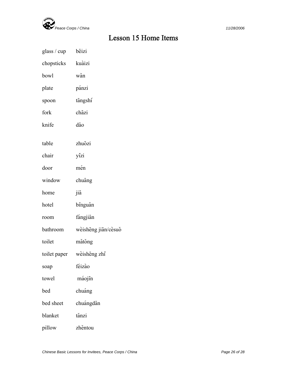

## Lesson 15 Home Items

| glass / cup  | beizi               |
|--------------|---------------------|
| chopsticks   | kuàizi              |
| bowl         | wǎn                 |
| plate        | pánzi               |
| spoon        | tangshi             |
| fork         | chāzi               |
| knife        | dao                 |
| table        | zhuōzi              |
| chair        | yizi                |
| door         | mén                 |
| window       | chuang              |
| home         | jiā                 |
| hotel        | binguǎn             |
| room         | fángjiān            |
| bathroom     | wèishēng jiān/cèsuǒ |
| toilet       | mǎtǒng              |
| toilet paper | wèishēng zhǐ        |
| soap         | féizão              |
| towel        | máojin              |
| bed          | chuáng              |
| bed sheet    | chuángdān           |
| blanket      | tǎnzi               |
| pillow       | zhěntou             |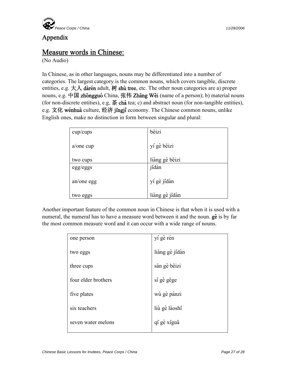

#### Appendix

# **Measure words in Chinese:** (No Audio)

In Chinese, as in other languages, nouns may be differentiated into a number of categories. The largest category is the common nouns, which covers tangible, discrete entities, e.g.  $\pm \lambda$  dàrén adult, 树 shù tree, etc. The other noun categories are a) proper nouns, e.g. 中国 zhongguó China, 张伟 Zhang Wěi (name of a person); b) material nouns (for non-discrete entities), e.g.  $\ddot{\mathbf{\mathcal{R}}}$  cha tea; c) and abstract noun (for non-tangible entities), e.g. 文化 wénhuà culture, 经济 jingji economy. The Chinese common nouns, unlike English ones, make no distinction in form between singular and plural:

| cup/cups     | beizi          |
|--------------|----------------|
| $a$ /one cup | yí gè bēizi    |
| two cups     | liăng gè bēizi |
| egg/eggs     | jīdàn          |
| an/one egg   | yí gè jidàn    |
| two eggs     | liăng gè jidàn |

Another important feature of the common noun in Chinese is that when it is used with a numeral, the numeral has to have a measure word between it and the noun.  $g\hat{e}$  is by far the most common measure word and it can occur with a wide range of nouns.

| one person          | yí gè rén      |
|---------------------|----------------|
| two eggs            | liăng gè jidàn |
| three cups          | sān gè bēizi   |
| four elder brothers | si gè gēge     |
| five plates         | wǔ gè pánzi    |
| six teachers        | liù gè lǎoshī  |
| seven water melons  | qī gè xīguā    |